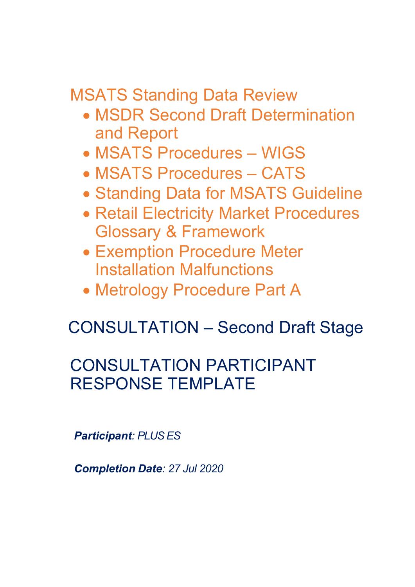MSATS Standing Data Review

- MSDR Second Draft Determination and Report
- MSATS Procedures WIGS
- MSATS Procedures CATS
- Standing Data for MSATS Guideline
- Retail Electricity Market Procedures Glossary & Framework
- Exemption Procedure Meter Installation Malfunctions
- Metrology Procedure Part A

# CONSULTATION – Second Draft Stage

# CONSULTATION PARTICIPANT RESPONSE TEMPLATE

*Participant: PLUS ES*

*Completion Date: 27 Jul 2020*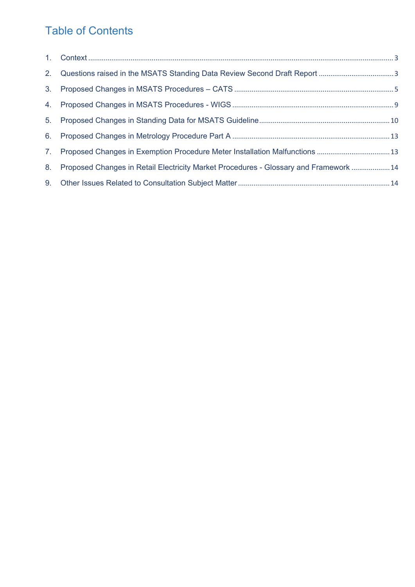# Table of Contents

| 3. |                                                                                       |  |
|----|---------------------------------------------------------------------------------------|--|
|    |                                                                                       |  |
|    |                                                                                       |  |
|    |                                                                                       |  |
|    | 7. Proposed Changes in Exemption Procedure Meter Installation Malfunctions 13         |  |
| 8. | Proposed Changes in Retail Electricity Market Procedures - Glossary and Framework  14 |  |
|    |                                                                                       |  |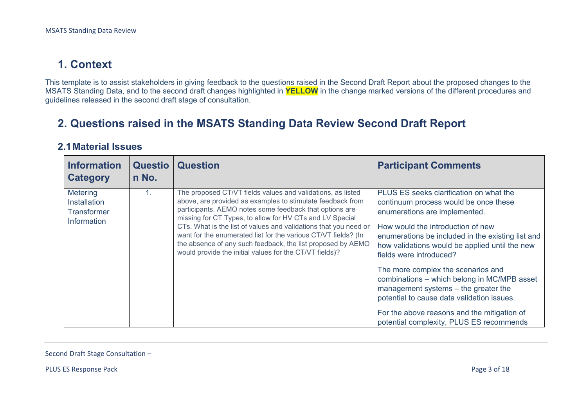# **1. Context**

This template is to assist stakeholders in giving feedback to the questions raised in the Second Draft Report about the proposed changes to the MSATS Standing Data, and to the second draft changes highlighted in **YELLOW** in the change marked versions of the different procedures and guidelines released in the second draft stage of consultation.

### **2. Questions raised in the MSATS Standing Data Review Second Draft Report**

#### **2.1Material Issues**

<span id="page-2-0"></span>

| <b>Information</b><br><b>Category</b>                         | <b>Questio</b><br>n No. | <b>Question</b>                                                                                                                                                                                                                                                                                                                                                                                                                                                                                                  | <b>Participant Comments</b>                                                                                                                                                                                                                                                                                                                                                                                                                                                                                                                                    |
|---------------------------------------------------------------|-------------------------|------------------------------------------------------------------------------------------------------------------------------------------------------------------------------------------------------------------------------------------------------------------------------------------------------------------------------------------------------------------------------------------------------------------------------------------------------------------------------------------------------------------|----------------------------------------------------------------------------------------------------------------------------------------------------------------------------------------------------------------------------------------------------------------------------------------------------------------------------------------------------------------------------------------------------------------------------------------------------------------------------------------------------------------------------------------------------------------|
| Metering<br>Installation<br><b>Transformer</b><br>Information | 1.                      | The proposed CT/VT fields values and validations, as listed<br>above, are provided as examples to stimulate feedback from<br>participants. AEMO notes some feedback that options are<br>missing for CT Types, to allow for HV CTs and LV Special<br>CTs. What is the list of values and validations that you need or<br>want for the enumerated list for the various CT/VT fields? (In<br>the absence of any such feedback, the list proposed by AEMO<br>would provide the initial values for the CT/VT fields)? | PLUS ES seeks clarification on what the<br>continuum process would be once these<br>enumerations are implemented.<br>How would the introduction of new<br>enumerations be included in the existing list and<br>how validations would be applied until the new<br>fields were introduced?<br>The more complex the scenarios and<br>combinations - which belong in MC/MPB asset<br>management systems - the greater the<br>potential to cause data validation issues.<br>For the above reasons and the mitigation of<br>potential complexity, PLUS ES recommends |

<span id="page-2-1"></span>Second Draft Stage Consultation –

PLUS ES Response Pack Page 3 of 18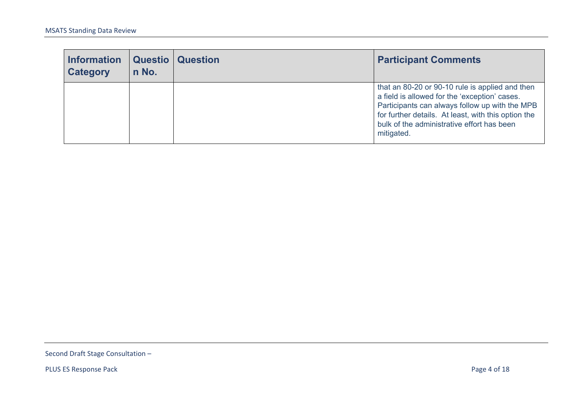| <b>Information</b><br><b>Category</b> | n No. | <b>Questio   Question</b> | <b>Participant Comments</b>                                                                                                                                                                                                                                           |
|---------------------------------------|-------|---------------------------|-----------------------------------------------------------------------------------------------------------------------------------------------------------------------------------------------------------------------------------------------------------------------|
|                                       |       |                           | that an 80-20 or 90-10 rule is applied and then<br>a field is allowed for the 'exception' cases.<br>Participants can always follow up with the MPB<br>for further details. At least, with this option the<br>bulk of the administrative effort has been<br>mitigated. |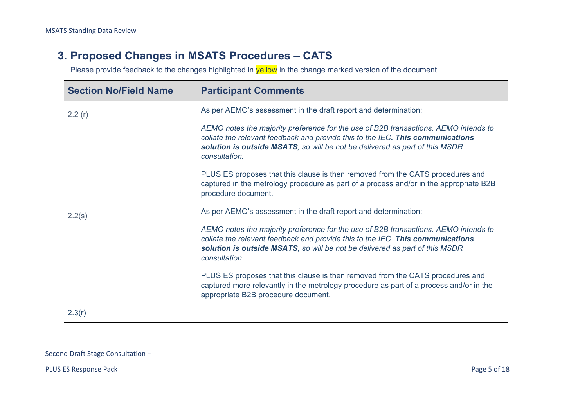# **3. Proposed Changes in MSATS Procedures – CATS**

Please provide feedback to the changes highlighted in **yellow** in the change marked version of the document

| <b>Section No/Field Name</b> | <b>Participant Comments</b>                                                                                                                                                                                                                                           |
|------------------------------|-----------------------------------------------------------------------------------------------------------------------------------------------------------------------------------------------------------------------------------------------------------------------|
| 2.2(r)                       | As per AEMO's assessment in the draft report and determination:                                                                                                                                                                                                       |
|                              | AEMO notes the majority preference for the use of B2B transactions. AEMO intends to<br>collate the relevant feedback and provide this to the IEC. This communications<br>solution is outside MSATS, so will be not be delivered as part of this MSDR<br>consultation. |
|                              | PLUS ES proposes that this clause is then removed from the CATS procedures and<br>captured in the metrology procedure as part of a process and/or in the appropriate B2B<br>procedure document.                                                                       |
| 2.2(s)                       | As per AEMO's assessment in the draft report and determination:                                                                                                                                                                                                       |
|                              | AEMO notes the majority preference for the use of B2B transactions. AEMO intends to<br>collate the relevant feedback and provide this to the IEC. This communications<br>solution is outside MSATS, so will be not be delivered as part of this MSDR<br>consultation. |
|                              | PLUS ES proposes that this clause is then removed from the CATS procedures and<br>captured more relevantly in the metrology procedure as part of a process and/or in the<br>appropriate B2B procedure document.                                                       |
| 2.3(r)                       |                                                                                                                                                                                                                                                                       |

<span id="page-4-0"></span>Second Draft Stage Consultation –

PLUS ES Response Pack Page 5 of 18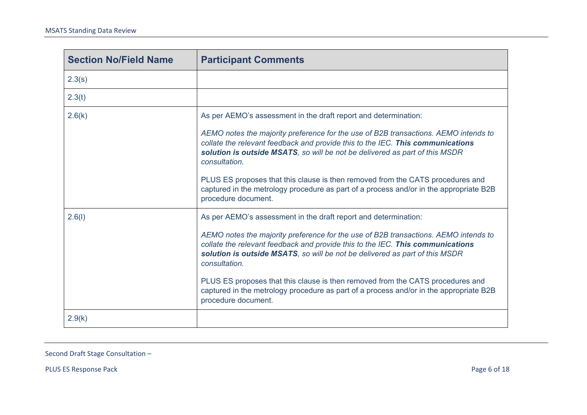| <b>Section No/Field Name</b> | <b>Participant Comments</b>                                                                                                                                                                                                                                                                                                                                                                                                                                                                                                                 |
|------------------------------|---------------------------------------------------------------------------------------------------------------------------------------------------------------------------------------------------------------------------------------------------------------------------------------------------------------------------------------------------------------------------------------------------------------------------------------------------------------------------------------------------------------------------------------------|
| 2.3(s)                       |                                                                                                                                                                                                                                                                                                                                                                                                                                                                                                                                             |
| 2.3(t)                       |                                                                                                                                                                                                                                                                                                                                                                                                                                                                                                                                             |
| 2.6(k)                       | As per AEMO's assessment in the draft report and determination:<br>AEMO notes the majority preference for the use of B2B transactions. AEMO intends to<br>collate the relevant feedback and provide this to the IEC. This communications<br>solution is outside MSATS, so will be not be delivered as part of this MSDR<br>consultation.<br>PLUS ES proposes that this clause is then removed from the CATS procedures and<br>captured in the metrology procedure as part of a process and/or in the appropriate B2B<br>procedure document. |
| 2.6(l)                       | As per AEMO's assessment in the draft report and determination:<br>AEMO notes the majority preference for the use of B2B transactions. AEMO intends to<br>collate the relevant feedback and provide this to the IEC. This communications<br>solution is outside MSATS, so will be not be delivered as part of this MSDR<br>consultation.<br>PLUS ES proposes that this clause is then removed from the CATS procedures and<br>captured in the metrology procedure as part of a process and/or in the appropriate B2B<br>procedure document. |
| 2.9(k)                       |                                                                                                                                                                                                                                                                                                                                                                                                                                                                                                                                             |

PLUS ES Response Pack Page 6 of 18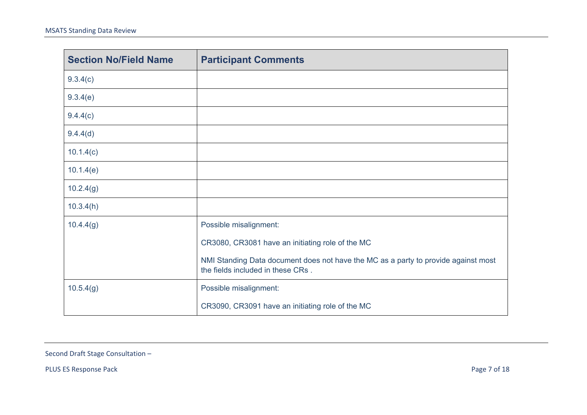| <b>Section No/Field Name</b> | <b>Participant Comments</b>                                                                                             |
|------------------------------|-------------------------------------------------------------------------------------------------------------------------|
| 9.3.4(c)                     |                                                                                                                         |
| 9.3.4(e)                     |                                                                                                                         |
| 9.4.4(c)                     |                                                                                                                         |
| 9.4.4(d)                     |                                                                                                                         |
| 10.1.4(c)                    |                                                                                                                         |
| 10.1.4(e)                    |                                                                                                                         |
| 10.2.4(g)                    |                                                                                                                         |
| 10.3.4(h)                    |                                                                                                                         |
| 10.4.4(g)                    | Possible misalignment:                                                                                                  |
|                              | CR3080, CR3081 have an initiating role of the MC                                                                        |
|                              | NMI Standing Data document does not have the MC as a party to provide against most<br>the fields included in these CRs. |
| 10.5.4(g)                    | Possible misalignment:                                                                                                  |
|                              | CR3090, CR3091 have an initiating role of the MC                                                                        |

PLUS ES Response Pack Page 7 of 18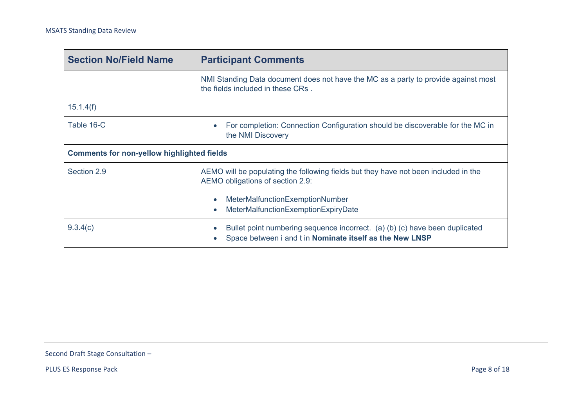| <b>Section No/Field Name</b>                                                                                                                                                                                                               | <b>Participant Comments</b>                                                                                                                                       |  |
|--------------------------------------------------------------------------------------------------------------------------------------------------------------------------------------------------------------------------------------------|-------------------------------------------------------------------------------------------------------------------------------------------------------------------|--|
|                                                                                                                                                                                                                                            | NMI Standing Data document does not have the MC as a party to provide against most<br>the fields included in these CRs.                                           |  |
| 15.1.4(f)                                                                                                                                                                                                                                  |                                                                                                                                                                   |  |
| Table 16-C                                                                                                                                                                                                                                 | For completion: Connection Configuration should be discoverable for the MC in<br>$\bullet$<br>the NMI Discovery                                                   |  |
| <b>Comments for non-yellow highlighted fields</b>                                                                                                                                                                                          |                                                                                                                                                                   |  |
| Section 2.9<br>AEMO will be populating the following fields but they have not been included in the<br>AEMO obligations of section 2.9:<br>MeterMalfunctionExemptionNumber<br>$\bullet$<br>MeterMalfunctionExemptionExpiryDate<br>$\bullet$ |                                                                                                                                                                   |  |
|                                                                                                                                                                                                                                            |                                                                                                                                                                   |  |
| 9.3.4(c)                                                                                                                                                                                                                                   | Bullet point numbering sequence incorrect. (a) (b) (c) have been duplicated<br>$\bullet$<br>Space between i and t in Nominate itself as the New LNSP<br>$\bullet$ |  |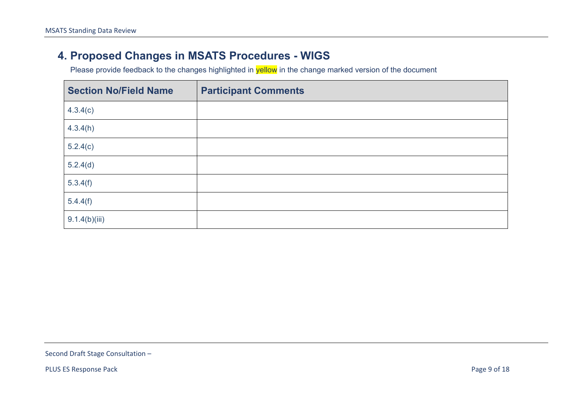# **4. Proposed Changes in MSATS Procedures - WIGS**

Please provide feedback to the changes highlighted in **yellow** in the change marked version of the document

<span id="page-8-0"></span>

| <b>Section No/Field Name</b> | <b>Participant Comments</b> |
|------------------------------|-----------------------------|
| 4.3.4(c)                     |                             |
| 4.3.4(h)                     |                             |
| 5.2.4(c)                     |                             |
| 5.2.4(d)                     |                             |
| 5.3.4(f)                     |                             |
| 5.4.4(f)                     |                             |
| 9.1.4(b)(iii)                |                             |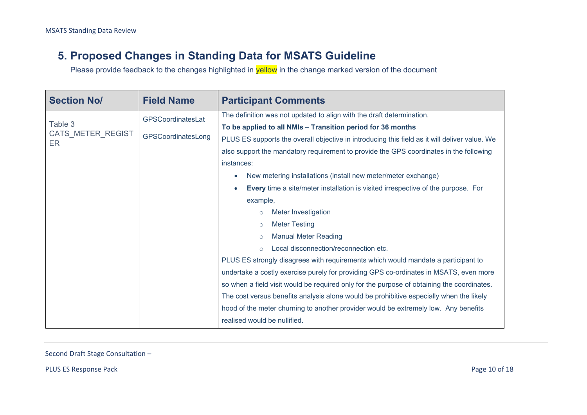### **5. Proposed Changes in Standing Data for MSATS Guideline**

Please provide feedback to the changes highlighted in **yellow** in the change marked version of the document

| <b>Section No/</b>      | <b>Field Name</b>                       | <b>Participant Comments</b>                                                                   |
|-------------------------|-----------------------------------------|-----------------------------------------------------------------------------------------------|
|                         | GPSCoordinatesLat<br>GPSCoordinatesLong | The definition was not updated to align with the draft determination.                         |
| Table 3                 |                                         | To be applied to all NMIs - Transition period for 36 months                                   |
| CATS METER REGIST<br>ER |                                         | PLUS ES supports the overall objective in introducing this field as it will deliver value. We |
|                         |                                         | also support the mandatory requirement to provide the GPS coordinates in the following        |
|                         |                                         | instances:                                                                                    |
|                         |                                         | New metering installations (install new meter/meter exchange)<br>$\bullet$                    |
|                         |                                         | <b>Every</b> time a site/meter installation is visited irrespective of the purpose. For       |
|                         |                                         | example,                                                                                      |
|                         |                                         | Meter Investigation<br>$\circ$                                                                |
|                         |                                         | <b>Meter Testing</b><br>$\circ$                                                               |
|                         |                                         | <b>Manual Meter Reading</b><br>$\circ$                                                        |
|                         |                                         | Local disconnection/reconnection etc.<br>$\Omega$                                             |
|                         |                                         | PLUS ES strongly disagrees with requirements which would mandate a participant to             |
|                         |                                         | undertake a costly exercise purely for providing GPS co-ordinates in MSATS, even more         |
|                         |                                         | so when a field visit would be required only for the purpose of obtaining the coordinates.    |
|                         |                                         | The cost versus benefits analysis alone would be prohibitive especially when the likely       |
|                         |                                         | hood of the meter churning to another provider would be extremely low. Any benefits           |
|                         |                                         | realised would be nullified.                                                                  |

<span id="page-9-0"></span>Second Draft Stage Consultation –

PLUS ES Response Pack Page 10 of 18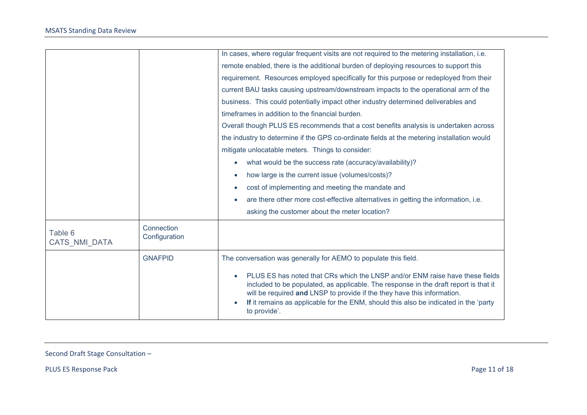|                          |                             | In cases, where regular frequent visits are not required to the metering installation, i.e.                                                                                                                                                                                                                                                             |  |
|--------------------------|-----------------------------|---------------------------------------------------------------------------------------------------------------------------------------------------------------------------------------------------------------------------------------------------------------------------------------------------------------------------------------------------------|--|
|                          |                             | remote enabled, there is the additional burden of deploying resources to support this                                                                                                                                                                                                                                                                   |  |
|                          |                             | requirement. Resources employed specifically for this purpose or redeployed from their                                                                                                                                                                                                                                                                  |  |
|                          |                             | current BAU tasks causing upstream/downstream impacts to the operational arm of the                                                                                                                                                                                                                                                                     |  |
|                          |                             | business. This could potentially impact other industry determined deliverables and                                                                                                                                                                                                                                                                      |  |
|                          |                             | timeframes in addition to the financial burden.                                                                                                                                                                                                                                                                                                         |  |
|                          |                             | Overall though PLUS ES recommends that a cost benefits analysis is undertaken across                                                                                                                                                                                                                                                                    |  |
|                          |                             | the industry to determine if the GPS co-ordinate fields at the metering installation would                                                                                                                                                                                                                                                              |  |
|                          |                             | mitigate unlocatable meters. Things to consider:                                                                                                                                                                                                                                                                                                        |  |
|                          |                             | what would be the success rate (accuracy/availability)?<br>$\bullet$                                                                                                                                                                                                                                                                                    |  |
|                          |                             | how large is the current issue (volumes/costs)?<br>$\bullet$                                                                                                                                                                                                                                                                                            |  |
|                          |                             | cost of implementing and meeting the mandate and<br>$\bullet$                                                                                                                                                                                                                                                                                           |  |
|                          |                             | are there other more cost-effective alternatives in getting the information, i.e.                                                                                                                                                                                                                                                                       |  |
|                          |                             | asking the customer about the meter location?                                                                                                                                                                                                                                                                                                           |  |
| Table 6<br>CATS NMI DATA | Connection<br>Configuration |                                                                                                                                                                                                                                                                                                                                                         |  |
|                          | <b>GNAFPID</b>              | The conversation was generally for AEMO to populate this field.                                                                                                                                                                                                                                                                                         |  |
|                          |                             | PLUS ES has noted that CRs which the LNSP and/or ENM raise have these fields<br>included to be populated, as applicable. The response in the draft report is that it<br>will be required and LNSP to provide if the they have this information.<br>If it remains as applicable for the ENM, should this also be indicated in the 'party<br>to provide'. |  |

PLUS ES Response Pack Page 11 of 18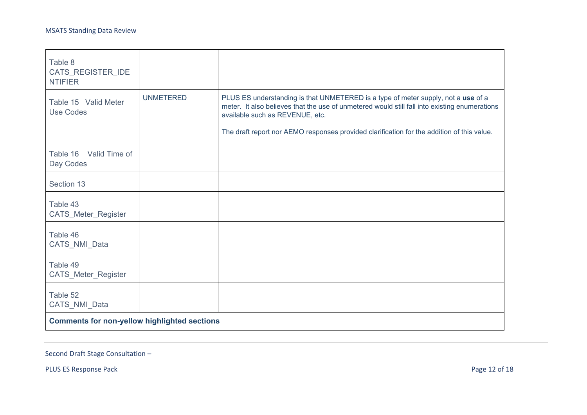| Table 8<br>CATS_REGISTER_IDE<br><b>NTIFIER</b>      |                  |                                                                                                                                                                                                                                                                                                                     |
|-----------------------------------------------------|------------------|---------------------------------------------------------------------------------------------------------------------------------------------------------------------------------------------------------------------------------------------------------------------------------------------------------------------|
| Table 15 Valid Meter<br><b>Use Codes</b>            | <b>UNMETERED</b> | PLUS ES understanding is that UNMETERED is a type of meter supply, not a use of a<br>meter. It also believes that the use of unmetered would still fall into existing enumerations<br>available such as REVENUE, etc.<br>The draft report nor AEMO responses provided clarification for the addition of this value. |
| Table 16 Valid Time of<br>Day Codes                 |                  |                                                                                                                                                                                                                                                                                                                     |
| Section 13                                          |                  |                                                                                                                                                                                                                                                                                                                     |
| Table 43<br>CATS_Meter_Register                     |                  |                                                                                                                                                                                                                                                                                                                     |
| Table 46<br>CATS_NMI_Data                           |                  |                                                                                                                                                                                                                                                                                                                     |
| Table 49<br>CATS_Meter_Register                     |                  |                                                                                                                                                                                                                                                                                                                     |
| Table 52<br>CATS_NMI_Data                           |                  |                                                                                                                                                                                                                                                                                                                     |
| <b>Comments for non-yellow highlighted sections</b> |                  |                                                                                                                                                                                                                                                                                                                     |

PLUS ES Response Pack Page 12 of 18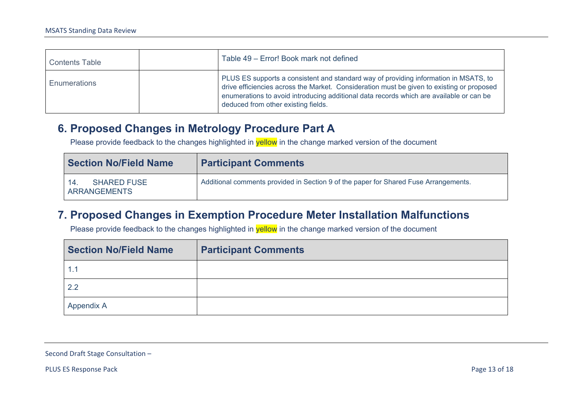| <b>Contents Table</b> | Table 49 – Error! Book mark not defined                                                                                                                                                                                                                                                                             |
|-----------------------|---------------------------------------------------------------------------------------------------------------------------------------------------------------------------------------------------------------------------------------------------------------------------------------------------------------------|
| <b>Enumerations</b>   | PLUS ES supports a consistent and standard way of providing information in MSATS, to<br>drive efficiencies across the Market. Consideration must be given to existing or proposed<br>enumerations to avoid introducing additional data records which are available or can be<br>deduced from other existing fields. |

#### **6. Proposed Changes in Metrology Procedure Part A**

Please provide feedback to the changes highlighted in **yellow** in the change marked version of the document

| <b>Section No/Field Name</b>                    | <b>Participant Comments</b>                                                          |
|-------------------------------------------------|--------------------------------------------------------------------------------------|
| <b>SHARED FUSE</b><br>14<br><b>ARRANGEMENTS</b> | Additional comments provided in Section 9 of the paper for Shared Fuse Arrangements. |

#### **7. Proposed Changes in Exemption Procedure Meter Installation Malfunctions**

Please provide feedback to the changes highlighted in **yellow** in the change marked version of the document

<span id="page-12-1"></span><span id="page-12-0"></span>

| <b>Section No/Field Name</b> | <b>Participant Comments</b> |
|------------------------------|-----------------------------|
|                              |                             |
| 2.2                          |                             |
| Appendix A                   |                             |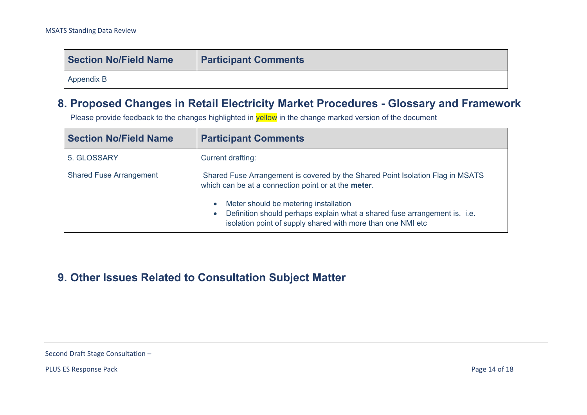| <b>Section No/Field Name</b> | <b>Participant Comments</b> |
|------------------------------|-----------------------------|
| Appendix B                   |                             |

### **8. Proposed Changes in Retail Electricity Market Procedures - Glossary and Framework**

Please provide feedback to the changes highlighted in **yellow** in the change marked version of the document

| <b>Section No/Field Name</b>   | <b>Participant Comments</b>                                                                                                                                                                                 |
|--------------------------------|-------------------------------------------------------------------------------------------------------------------------------------------------------------------------------------------------------------|
| 5. GLOSSARY                    | Current drafting:                                                                                                                                                                                           |
| <b>Shared Fuse Arrangement</b> | Shared Fuse Arrangement is covered by the Shared Point Isolation Flag in MSATS<br>which can be at a connection point or at the meter.                                                                       |
|                                | Meter should be metering installation<br>$\bullet$<br>Definition should perhaps explain what a shared fuse arrangement is. i.e.<br>$\bullet$<br>isolation point of supply shared with more than one NMI etc |

### <span id="page-13-1"></span><span id="page-13-0"></span>**9. Other Issues Related to Consultation Subject Matter**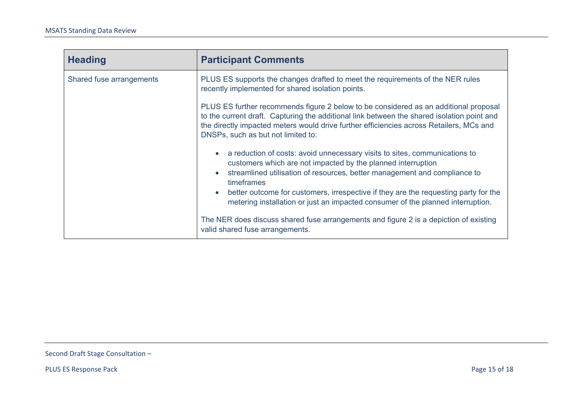| <b>Heading</b>           | <b>Participant Comments</b>                                                                                                                                                                                                                                                                                         |
|--------------------------|---------------------------------------------------------------------------------------------------------------------------------------------------------------------------------------------------------------------------------------------------------------------------------------------------------------------|
| Shared fuse arrangements | PLUS ES supports the changes drafted to meet the requirements of the NER rules<br>recently implemented for shared isolation points.                                                                                                                                                                                 |
|                          | PLUS ES further recommends figure 2 below to be considered as an additional proposal<br>to the current draft. Capturing the additional link between the shared isolation point and<br>the directly impacted meters would drive further efficiencies across Retailers, MCs and<br>DNSPs, such as but not limited to: |
|                          | a reduction of costs: avoid unnecessary visits to sites, communications to<br>customers which are not impacted by the planned interruption<br>streamlined utilisation of resources, better management and compliance to<br>timeframes                                                                               |
|                          | better outcome for customers, irrespective if they are the requesting party for the<br>$\bullet$<br>metering installation or just an impacted consumer of the planned interruption.                                                                                                                                 |
|                          | The NER does discuss shared fuse arrangements and figure 2 is a depiction of existing<br>valid shared fuse arrangements.                                                                                                                                                                                            |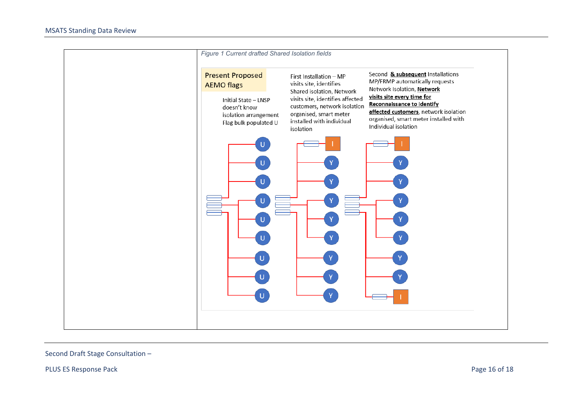

PLUS ES Response Pack Page 16 of 18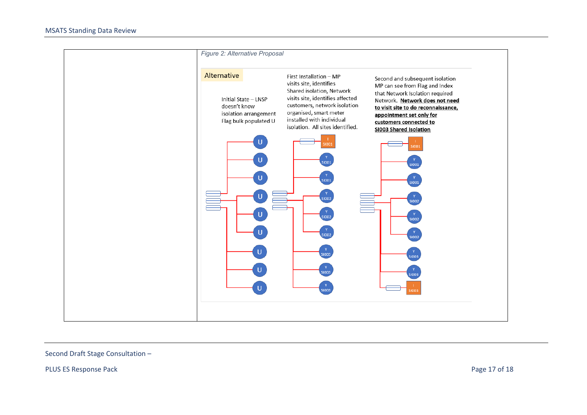

PLUS ES Response Pack Page 17 of 18